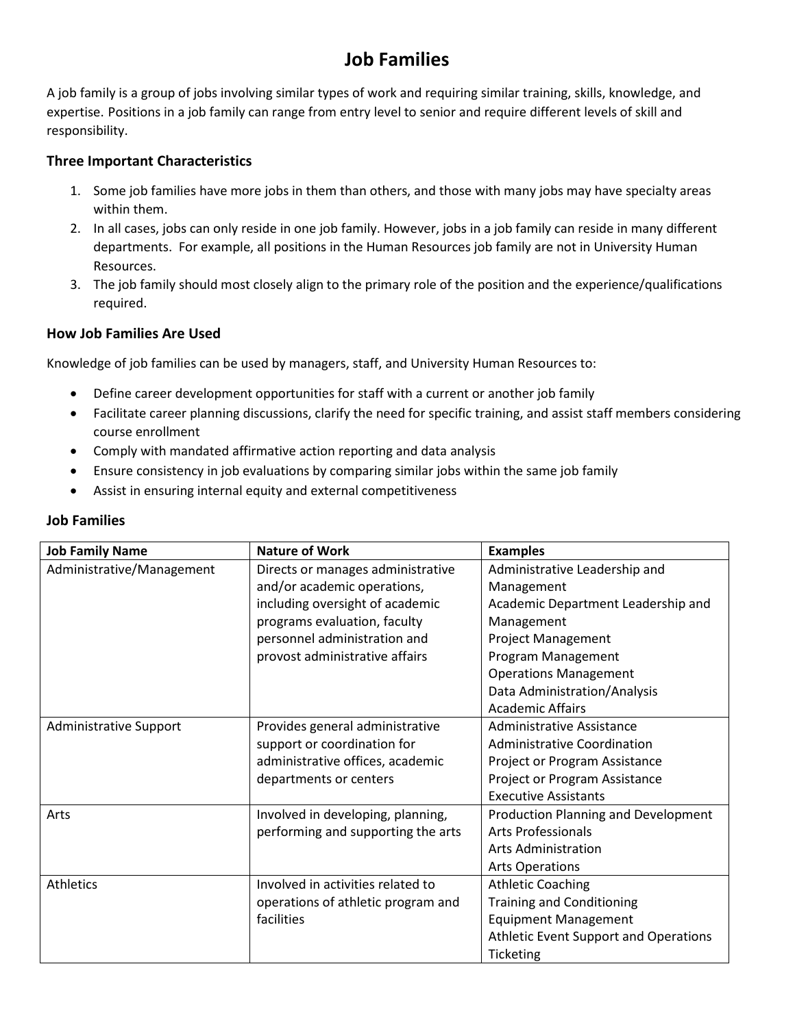# **Job Families**

A job family is a group of jobs involving similar types of work and requiring similar training, skills, knowledge, and expertise. Positions in a job family can range from entry level to senior and require different levels of skill and responsibility.

# **Three Important Characteristics**

- 1. Some job families have more jobs in them than others, and those with many jobs may have specialty areas within them.
- 2. In all cases, jobs can only reside in one job family. However, jobs in a job family can reside in many different departments. For example, all positions in the Human Resources job family are not in University Human Resources.
- 3. The job family should most closely align to the primary role of the position and the experience/qualifications required.

### **How Job Families Are Used**

Knowledge of job families can be used by managers, staff, and University Human Resources to:

- Define career development opportunities for staff with a current or another job family
- Facilitate career planning discussions, clarify the need for specific training, and assist staff members considering course enrollment
- Comply with mandated affirmative action reporting and data analysis
- Ensure consistency in job evaluations by comparing similar jobs within the same job family
- Assist in ensuring internal equity and external competitiveness

| <b>Job Family Name</b>    | <b>Nature of Work</b>              | <b>Examples</b>                       |
|---------------------------|------------------------------------|---------------------------------------|
| Administrative/Management | Directs or manages administrative  | Administrative Leadership and         |
|                           | and/or academic operations,        | Management                            |
|                           | including oversight of academic    | Academic Department Leadership and    |
|                           | programs evaluation, faculty       | Management                            |
|                           | personnel administration and       | <b>Project Management</b>             |
|                           | provost administrative affairs     | Program Management                    |
|                           |                                    | <b>Operations Management</b>          |
|                           |                                    | Data Administration/Analysis          |
|                           |                                    | <b>Academic Affairs</b>               |
| Administrative Support    | Provides general administrative    | Administrative Assistance             |
|                           | support or coordination for        | Administrative Coordination           |
|                           | administrative offices, academic   | Project or Program Assistance         |
|                           | departments or centers             | Project or Program Assistance         |
|                           |                                    | <b>Executive Assistants</b>           |
| Arts                      | Involved in developing, planning,  | Production Planning and Development   |
|                           | performing and supporting the arts | <b>Arts Professionals</b>             |
|                           |                                    | Arts Administration                   |
|                           |                                    | <b>Arts Operations</b>                |
| <b>Athletics</b>          | Involved in activities related to  | <b>Athletic Coaching</b>              |
|                           | operations of athletic program and | <b>Training and Conditioning</b>      |
|                           | facilities                         | <b>Equipment Management</b>           |
|                           |                                    | Athletic Event Support and Operations |
|                           |                                    | Ticketing                             |

## **Job Families**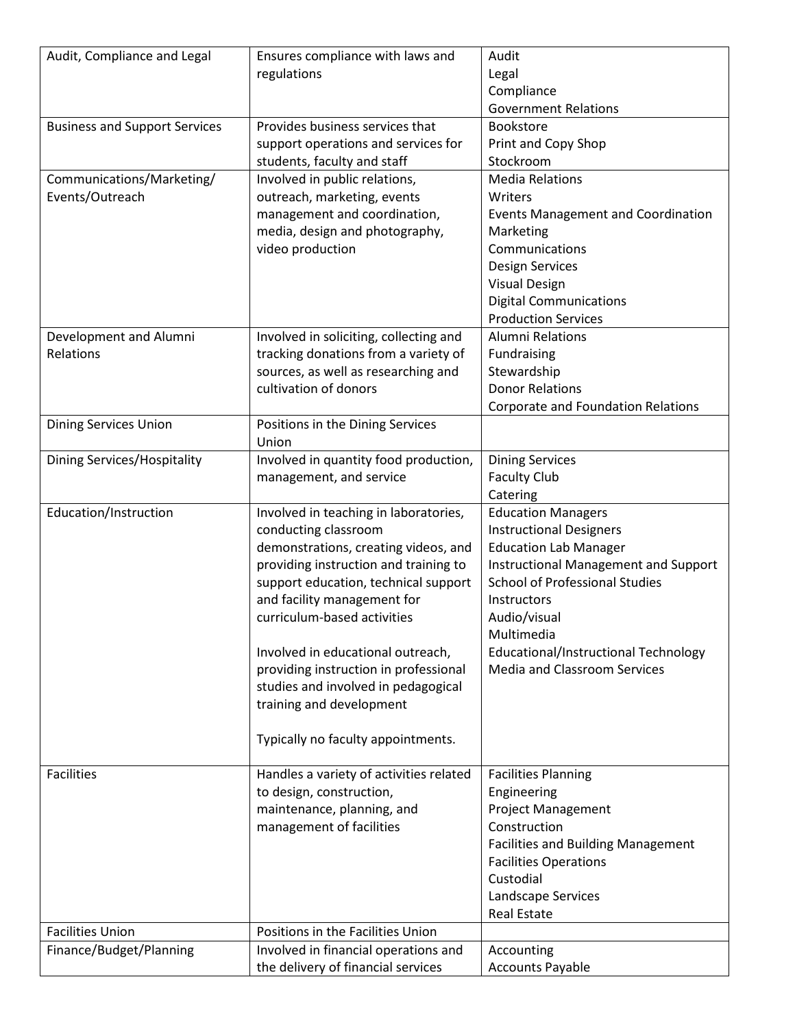| Audit, Compliance and Legal          | Ensures compliance with laws and        | Audit                                     |
|--------------------------------------|-----------------------------------------|-------------------------------------------|
|                                      | regulations                             | Legal                                     |
|                                      |                                         | Compliance                                |
|                                      |                                         | <b>Government Relations</b>               |
| <b>Business and Support Services</b> | Provides business services that         | Bookstore                                 |
|                                      | support operations and services for     | Print and Copy Shop                       |
|                                      | students, faculty and staff             | Stockroom                                 |
| Communications/Marketing/            | Involved in public relations,           | <b>Media Relations</b>                    |
| Events/Outreach                      | outreach, marketing, events             | Writers                                   |
|                                      | management and coordination,            | <b>Events Management and Coordination</b> |
|                                      | media, design and photography,          | Marketing                                 |
|                                      | video production                        | Communications                            |
|                                      |                                         | <b>Design Services</b>                    |
|                                      |                                         | <b>Visual Design</b>                      |
|                                      |                                         | <b>Digital Communications</b>             |
|                                      |                                         | <b>Production Services</b>                |
|                                      |                                         | <b>Alumni Relations</b>                   |
| Development and Alumni               | Involved in soliciting, collecting and  |                                           |
| Relations                            | tracking donations from a variety of    | Fundraising                               |
|                                      | sources, as well as researching and     | Stewardship                               |
|                                      | cultivation of donors                   | <b>Donor Relations</b>                    |
|                                      |                                         | Corporate and Foundation Relations        |
| <b>Dining Services Union</b>         | Positions in the Dining Services        |                                           |
|                                      | Union                                   |                                           |
| Dining Services/Hospitality          | Involved in quantity food production,   | <b>Dining Services</b>                    |
|                                      | management, and service                 | <b>Faculty Club</b>                       |
|                                      |                                         | Catering                                  |
| Education/Instruction                | Involved in teaching in laboratories,   | <b>Education Managers</b>                 |
|                                      | conducting classroom                    | <b>Instructional Designers</b>            |
|                                      | demonstrations, creating videos, and    | <b>Education Lab Manager</b>              |
|                                      | providing instruction and training to   | Instructional Management and Support      |
|                                      | support education, technical support    | <b>School of Professional Studies</b>     |
|                                      | and facility management for             | Instructors                               |
|                                      | curriculum-based activities             | Audio/visual                              |
|                                      |                                         | Multimedia                                |
|                                      | Involved in educational outreach,       | Educational/Instructional Technology      |
|                                      | providing instruction in professional   | <b>Media and Classroom Services</b>       |
|                                      | studies and involved in pedagogical     |                                           |
|                                      | training and development                |                                           |
|                                      |                                         |                                           |
|                                      | Typically no faculty appointments.      |                                           |
|                                      |                                         |                                           |
| <b>Facilities</b>                    | Handles a variety of activities related | <b>Facilities Planning</b>                |
|                                      | to design, construction,                | Engineering                               |
|                                      | maintenance, planning, and              | <b>Project Management</b>                 |
|                                      | management of facilities                | Construction                              |
|                                      |                                         |                                           |
|                                      |                                         | <b>Facilities and Building Management</b> |
|                                      |                                         | <b>Facilities Operations</b><br>Custodial |
|                                      |                                         |                                           |
|                                      |                                         | Landscape Services                        |
|                                      |                                         | <b>Real Estate</b>                        |
| <b>Facilities Union</b>              | Positions in the Facilities Union       |                                           |
| Finance/Budget/Planning              | Involved in financial operations and    | Accounting                                |
|                                      | the delivery of financial services      | <b>Accounts Payable</b>                   |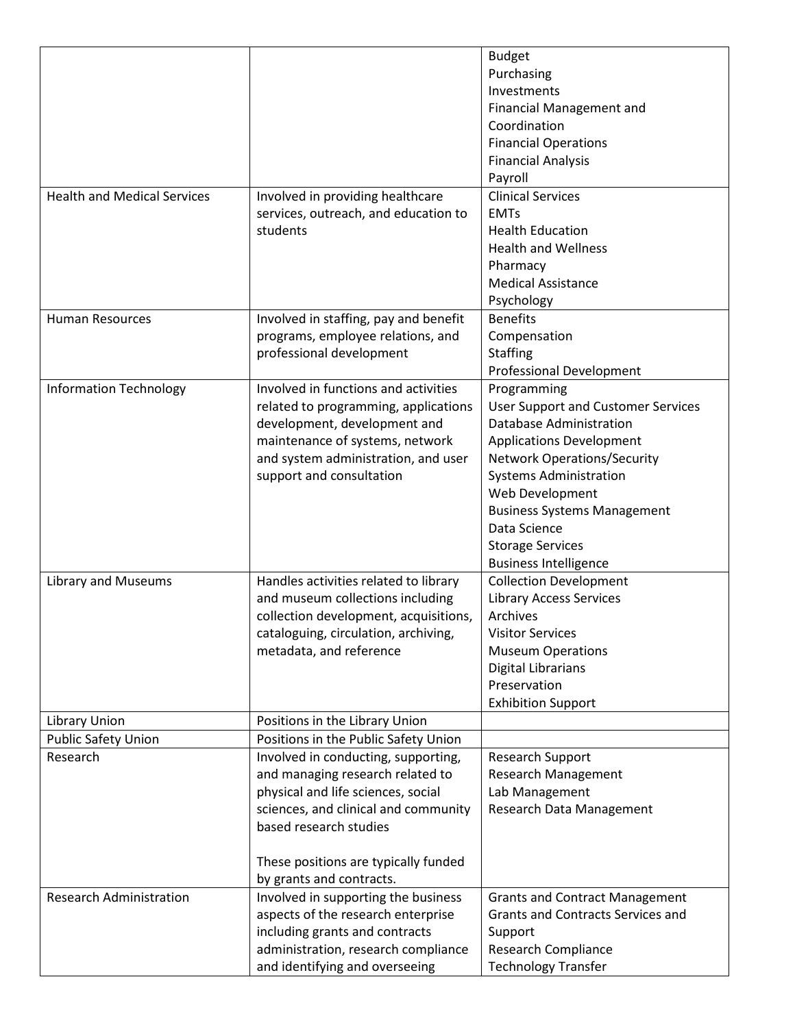|                                    |                                       | <b>Budget</b>                             |
|------------------------------------|---------------------------------------|-------------------------------------------|
|                                    |                                       | Purchasing                                |
|                                    |                                       | Investments                               |
|                                    |                                       | Financial Management and                  |
|                                    |                                       | Coordination                              |
|                                    |                                       | <b>Financial Operations</b>               |
|                                    |                                       | <b>Financial Analysis</b>                 |
|                                    |                                       | Payroll                                   |
| <b>Health and Medical Services</b> | Involved in providing healthcare      | <b>Clinical Services</b>                  |
|                                    | services, outreach, and education to  | <b>EMTs</b>                               |
|                                    | students                              | <b>Health Education</b>                   |
|                                    |                                       | <b>Health and Wellness</b>                |
|                                    |                                       | Pharmacy                                  |
|                                    |                                       | <b>Medical Assistance</b>                 |
|                                    |                                       | Psychology                                |
| <b>Human Resources</b>             | Involved in staffing, pay and benefit | <b>Benefits</b>                           |
|                                    | programs, employee relations, and     | Compensation                              |
|                                    | professional development              | <b>Staffing</b>                           |
|                                    |                                       | <b>Professional Development</b>           |
| <b>Information Technology</b>      | Involved in functions and activities  | Programming                               |
|                                    | related to programming, applications  | <b>User Support and Customer Services</b> |
|                                    | development, development and          | Database Administration                   |
|                                    | maintenance of systems, network       | <b>Applications Development</b>           |
|                                    | and system administration, and user   | <b>Network Operations/Security</b>        |
|                                    | support and consultation              | <b>Systems Administration</b>             |
|                                    |                                       | Web Development                           |
|                                    |                                       | <b>Business Systems Management</b>        |
|                                    |                                       | Data Science                              |
|                                    |                                       | <b>Storage Services</b>                   |
|                                    |                                       | <b>Business Intelligence</b>              |
| <b>Library and Museums</b>         | Handles activities related to library | <b>Collection Development</b>             |
|                                    | and museum collections including      | <b>Library Access Services</b>            |
|                                    | collection development, acquisitions, | Archives                                  |
|                                    | cataloguing, circulation, archiving,  | <b>Visitor Services</b>                   |
|                                    | metadata, and reference               | <b>Museum Operations</b>                  |
|                                    |                                       | <b>Digital Librarians</b>                 |
|                                    |                                       | Preservation                              |
|                                    |                                       | <b>Exhibition Support</b>                 |
| <b>Library Union</b>               | Positions in the Library Union        |                                           |
| <b>Public Safety Union</b>         | Positions in the Public Safety Union  |                                           |
| Research                           | Involved in conducting, supporting,   | <b>Research Support</b>                   |
|                                    | and managing research related to      | <b>Research Management</b>                |
|                                    | physical and life sciences, social    | Lab Management                            |
|                                    | sciences, and clinical and community  | Research Data Management                  |
|                                    | based research studies                |                                           |
|                                    |                                       |                                           |
|                                    | These positions are typically funded  |                                           |
|                                    | by grants and contracts.              |                                           |
| <b>Research Administration</b>     | Involved in supporting the business   | <b>Grants and Contract Management</b>     |
|                                    | aspects of the research enterprise    | <b>Grants and Contracts Services and</b>  |
|                                    | including grants and contracts        | Support                                   |
|                                    | administration, research compliance   | Research Compliance                       |
|                                    | and identifying and overseeing        | <b>Technology Transfer</b>                |